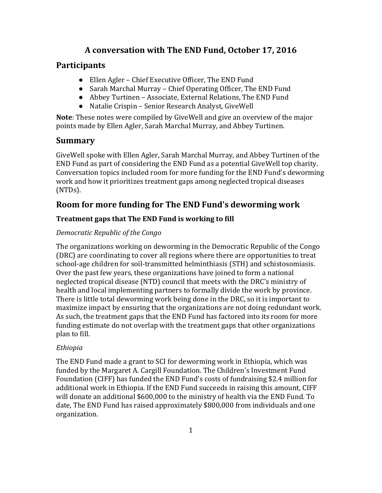# **A conversation with The END Fund, October 17, 2016**

## **Participants**

- Ellen Agler Chief Executive Officer, The END Fund
- Sarah Marchal Murray Chief Operating Officer, The END Fund
- Abbey Turtinen Associate, External Relations, The END Fund
- Natalie Crispin Senior Research Analyst, GiveWell

**Note**: These notes were compiled by GiveWell and give an overview of the major points made by Ellen Agler, Sarah Marchal Murray, and Abbey Turtinen.

# **Summary**

GiveWell spoke with Ellen Agler, Sarah Marchal Murray, and Abbey Turtinen of the END Fund as part of considering the END Fund as a potential GiveWell top charity. Conversation topics included room for more funding for the END Fund's deworming work and how it prioritizes treatment gaps among neglected tropical diseases (NTDs).

# **Room for more funding for The END Fund's deworming work**

### **Treatment gaps that The END Fund is working to fill**

### *Democratic Republic of the Congo*

The organizations working on deworming in the Democratic Republic of the Congo (DRC) are coordinating to cover all regions where there are opportunities to treat school-age children for soil-transmitted helminthiasis (STH) and schistosomiasis. Over the past few years, these organizations have joined to form a national neglected tropical disease (NTD) council that meets with the DRC's ministry of health and local implementing partners to formally divide the work by province. There is little total deworming work being done in the DRC, so it is important to maximize impact by ensuring that the organizations are not doing redundant work. As such, the treatment gaps that the END Fund has factored into its room for more funding estimate do not overlap with the treatment gaps that other organizations plan to fill.

### *Ethiopia*

The END Fund made a grant to SCI for deworming work in Ethiopia, which was funded by the Margaret A. Cargill Foundation. The Children's Investment Fund Foundation (CIFF) has funded the END Fund's costs of fundraising \$2.4 million for additional work in Ethiopia. If the END Fund succeeds in raising this amount, CIFF will donate an additional \$600,000 to the ministry of health via the END Fund. To date, The END Fund has raised approximately \$800,000 from individuals and one organization.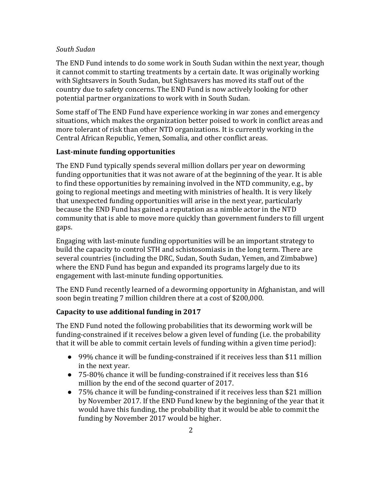#### *South Sudan*

The END Fund intends to do some work in South Sudan within the next year, though it cannot commit to starting treatments by a certain date. It was originally working with Sightsavers in South Sudan, but Sightsavers has moved its staff out of the country due to safety concerns. The END Fund is now actively looking for other potential partner organizations to work with in South Sudan.

Some staff of The END Fund have experience working in war zones and emergency situations, which makes the organization better poised to work in conflict areas and more tolerant of risk than other NTD organizations. It is currently working in the Central African Republic, Yemen, Somalia, and other conflict areas.

#### **Last-minute funding opportunities**

The END Fund typically spends several million dollars per year on deworming funding opportunities that it was not aware of at the beginning of the year. It is able to find these opportunities by remaining involved in the NTD community, e.g., by going to regional meetings and meeting with ministries of health. It is very likely that unexpected funding opportunities will arise in the next year, particularly because the END Fund has gained a reputation as a nimble actor in the NTD community that is able to move more quickly than government funders to fill urgent gaps.

Engaging with last-minute funding opportunities will be an important strategy to build the capacity to control STH and schistosomiasis in the long term. There are several countries (including the DRC, Sudan, South Sudan, Yemen, and Zimbabwe) where the END Fund has begun and expanded its programs largely due to its engagement with last-minute funding opportunities.

The END Fund recently learned of a deworming opportunity in Afghanistan, and will soon begin treating 7 million children there at a cost of \$200,000.

#### **Capacity to use additional funding in 2017**

The END Fund noted the following probabilities that its deworming work will be funding-constrained if it receives below a given level of funding (i.e. the probability that it will be able to commit certain levels of funding within a given time period):

- 99% chance it will be funding-constrained if it receives less than \$11 million in the next year.
- $\bullet$  75-80% chance it will be funding-constrained if it receives less than \$16 million by the end of the second quarter of 2017.
- 75% chance it will be funding-constrained if it receives less than \$21 million by November 2017. If the END Fund knew by the beginning of the year that it would have this funding, the probability that it would be able to commit the funding by November 2017 would be higher.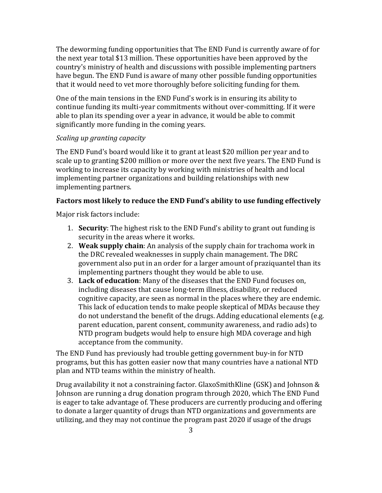The deworming funding opportunities that The END Fund is currently aware of for the next year total \$13 million. These opportunities have been approved by the country's ministry of health and discussions with possible implementing partners have begun. The END Fund is aware of many other possible funding opportunities that it would need to vet more thoroughly before soliciting funding for them.

One of the main tensions in the END Fund's work is in ensuring its ability to continue funding its multi-year commitments without over-committing. If it were able to plan its spending over a year in advance, it would be able to commit significantly more funding in the coming years.

#### *Scaling up granting capacity*

The END Fund's board would like it to grant at least \$20 million per year and to scale up to granting \$200 million or more over the next five years. The END Fund is working to increase its capacity by working with ministries of health and local implementing partner organizations and building relationships with new implementing partners.

#### **Factors most likely to reduce the END Fund's ability to use funding effectively**

Major risk factors include:

- 1. **Security**: The highest risk to the END Fund's ability to grant out funding is security in the areas where it works.
- 2. **Weak supply chain**: An analysis of the supply chain for trachoma work in the DRC revealed weaknesses in supply chain management. The DRC government also put in an order for a larger amount of praziquantel than its implementing partners thought they would be able to use.
- 3. **Lack of education**: Many of the diseases that the END Fund focuses on, including diseases that cause long-term illness, disability, or reduced cognitive capacity, are seen as normal in the places where they are endemic. This lack of education tends to make people skeptical of MDAs because they do not understand the benefit of the drugs. Adding educational elements (e.g. parent education, parent consent, community awareness, and radio ads) to NTD program budgets would help to ensure high MDA coverage and high acceptance from the community.

The END Fund has previously had trouble getting government buy-in for NTD programs, but this has gotten easier now that many countries have a national NTD plan and NTD teams within the ministry of health.

Drug availability it not a constraining factor. GlaxoSmithKline (GSK) and Johnson & Johnson are running a drug donation program through 2020, which The END Fund is eager to take advantage of. These producers are currently producing and offering to donate a larger quantity of drugs than NTD organizations and governments are utilizing, and they may not continue the program past 2020 if usage of the drugs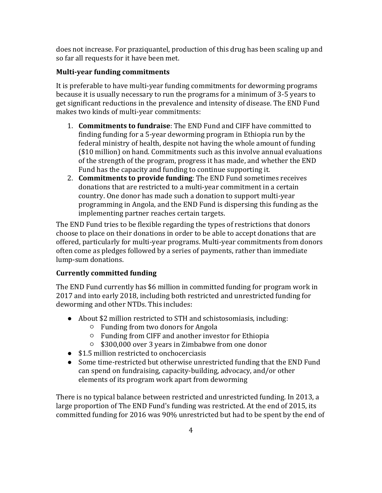does not increase. For praziquantel, production of this drug has been scaling up and so far all requests for it have been met.

## **Multi-year funding commitments**

It is preferable to have multi-year funding commitments for deworming programs because it is usually necessary to run the programs for a minimum of 3-5 years to get significant reductions in the prevalence and intensity of disease. The END Fund makes two kinds of multi-year commitments:

- 1. **Commitments to fundraise**: The END Fund and CIFF have committed to finding funding for a 5-year deworming program in Ethiopia run by the federal ministry of health, despite not having the whole amount of funding (\$10 million) on hand. Commitments such as this involve annual evaluations of the strength of the program, progress it has made, and whether the END Fund has the capacity and funding to continue supporting it.
- 2. **Commitments to provide funding**: The END Fund sometimes receives donations that are restricted to a multi-year commitment in a certain country. One donor has made such a donation to support multi-year programming in Angola, and the END Fund is dispersing this funding as the implementing partner reaches certain targets.

The END Fund tries to be flexible regarding the types of restrictions that donors choose to place on their donations in order to be able to accept donations that are offered, particularly for multi-year programs. Multi-year commitments from donors often come as pledges followed by a series of payments, rather than immediate lump-sum donations.

### **Currently committed funding**

The END Fund currently has \$6 million in committed funding for program work in 2017 and into early 2018, including both restricted and unrestricted funding for deworming and other NTDs. This includes:

- About \$2 million restricted to STH and schistosomiasis, including:
	- Funding from two donors for Angola
	- Funding from CIFF and another investor for Ethiopia
	- \$300,000 over 3 years in Zimbabwe from one donor
- \$1.5 million restricted to onchocerciasis
- Some time-restricted but otherwise unrestricted funding that the END Fund can spend on fundraising, capacity-building, advocacy, and/or other elements of its program work apart from deworming

There is no typical balance between restricted and unrestricted funding. In 2013, a large proportion of The END Fund's funding was restricted. At the end of 2015, its committed funding for 2016 was 90% unrestricted but had to be spent by the end of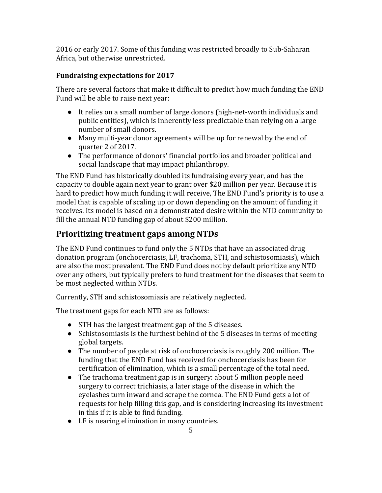2016 or early 2017. Some of this funding was restricted broadly to Sub-Saharan Africa, but otherwise unrestricted.

## **Fundraising expectations for 2017**

There are several factors that make it difficult to predict how much funding the END Fund will be able to raise next year:

- It relies on a small number of large donors (high-net-worth individuals and public entities), which is inherently less predictable than relying on a large number of small donors.
- Many multi-year donor agreements will be up for renewal by the end of quarter 2 of 2017.
- The performance of donors' financial portfolios and broader political and social landscape that may impact philanthropy.

The END Fund has historically doubled its fundraising every year, and has the capacity to double again next year to grant over \$20 million per year. Because it is hard to predict how much funding it will receive, The END Fund's priority is to use a model that is capable of scaling up or down depending on the amount of funding it receives. Its model is based on a demonstrated desire within the NTD community to fill the annual NTD funding gap of about \$200 million.

# **Prioritizing treatment gaps among NTDs**

The END Fund continues to fund only the 5 NTDs that have an associated drug donation program (onchocerciasis, LF, trachoma, STH, and schistosomiasis), which are also the most prevalent. The END Fund does not by default prioritize any NTD over any others, but typically prefers to fund treatment for the diseases that seem to be most neglected within NTDs.

Currently, STH and schistosomiasis are relatively neglected.

The treatment gaps for each NTD are as follows:

- STH has the largest treatment gap of the 5 diseases.
- Schistosomiasis is the furthest behind of the 5 diseases in terms of meeting global targets.
- The number of people at risk of onchocerciasis is roughly 200 million. The funding that the END Fund has received for onchocerciasis has been for certification of elimination, which is a small percentage of the total need.
- The trachoma treatment gap is in surgery: about 5 million people need surgery to correct trichiasis, a later stage of the disease in which the eyelashes turn inward and scrape the cornea. The END Fund gets a lot of requests for help filling this gap, and is considering increasing its investment in this if it is able to find funding.
- LF is nearing elimination in many countries.